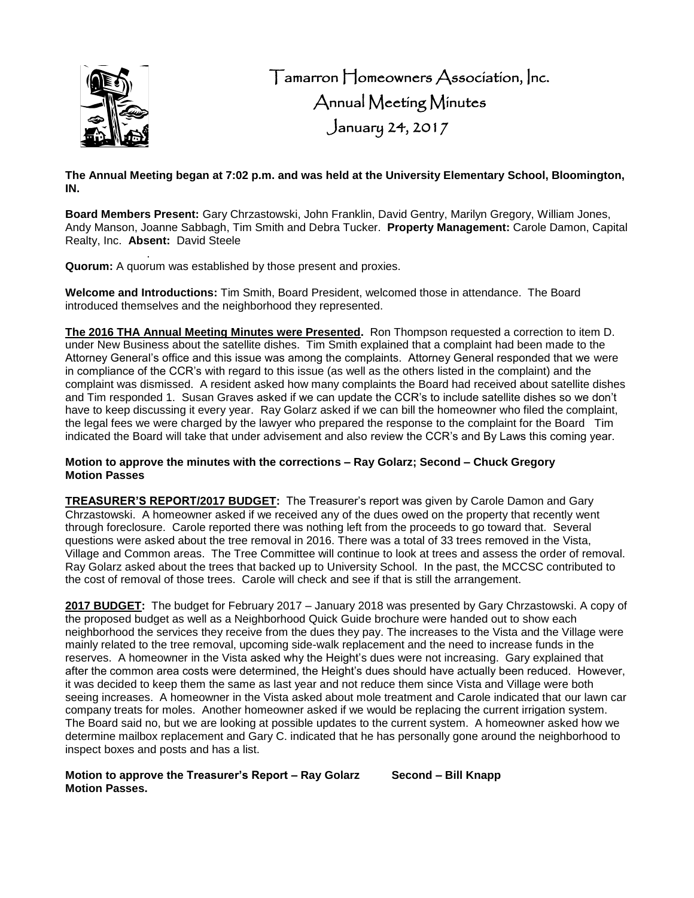

 Tamarron Homeowners Association, Inc. Annual Meeting Minutes January 24, 2017

**The Annual Meeting began at 7:02 p.m. and was held at the University Elementary School, Bloomington, IN.**

**Board Members Present:** Gary Chrzastowski, John Franklin, David Gentry, Marilyn Gregory, William Jones, Andy Manson, Joanne Sabbagh, Tim Smith and Debra Tucker. **Property Management:** Carole Damon, Capital Realty, Inc. **Absent:** David Steele

. **Quorum:** A quorum was established by those present and proxies.

**Welcome and Introductions:** Tim Smith, Board President, welcomed those in attendance. The Board introduced themselves and the neighborhood they represented.

**The 2016 THA Annual Meeting Minutes were Presented.** Ron Thompson requested a correction to item D. under New Business about the satellite dishes. Tim Smith explained that a complaint had been made to the Attorney General's office and this issue was among the complaints. Attorney General responded that we were in compliance of the CCR's with regard to this issue (as well as the others listed in the complaint) and the complaint was dismissed. A resident asked how many complaints the Board had received about satellite dishes and Tim responded 1. Susan Graves asked if we can update the CCR's to include satellite dishes so we don't have to keep discussing it every year. Ray Golarz asked if we can bill the homeowner who filed the complaint, the legal fees we were charged by the lawyer who prepared the response to the complaint for the Board Tim indicated the Board will take that under advisement and also review the CCR's and By Laws this coming year.

## **Motion to approve the minutes with the corrections – Ray Golarz; Second – Chuck Gregory Motion Passes**

**TREASURER'S REPORT/2017 BUDGET:** The Treasurer's report was given by Carole Damon and Gary Chrzastowski. A homeowner asked if we received any of the dues owed on the property that recently went through foreclosure. Carole reported there was nothing left from the proceeds to go toward that. Several questions were asked about the tree removal in 2016. There was a total of 33 trees removed in the Vista, Village and Common areas. The Tree Committee will continue to look at trees and assess the order of removal. Ray Golarz asked about the trees that backed up to University School. In the past, the MCCSC contributed to the cost of removal of those trees. Carole will check and see if that is still the arrangement.

**2017 BUDGET:** The budget for February 2017 – January 2018 was presented by Gary Chrzastowski. A copy of the proposed budget as well as a Neighborhood Quick Guide brochure were handed out to show each neighborhood the services they receive from the dues they pay. The increases to the Vista and the Village were mainly related to the tree removal, upcoming side-walk replacement and the need to increase funds in the reserves. A homeowner in the Vista asked why the Height's dues were not increasing. Gary explained that after the common area costs were determined, the Height's dues should have actually been reduced. However, it was decided to keep them the same as last year and not reduce them since Vista and Village were both seeing increases. A homeowner in the Vista asked about mole treatment and Carole indicated that our lawn car company treats for moles. Another homeowner asked if we would be replacing the current irrigation system. The Board said no, but we are looking at possible updates to the current system. A homeowner asked how we determine mailbox replacement and Gary C. indicated that he has personally gone around the neighborhood to inspect boxes and posts and has a list.

**Motion to approve the Treasurer's Report – Ray Golarz Second – Bill Knapp Motion Passes.**